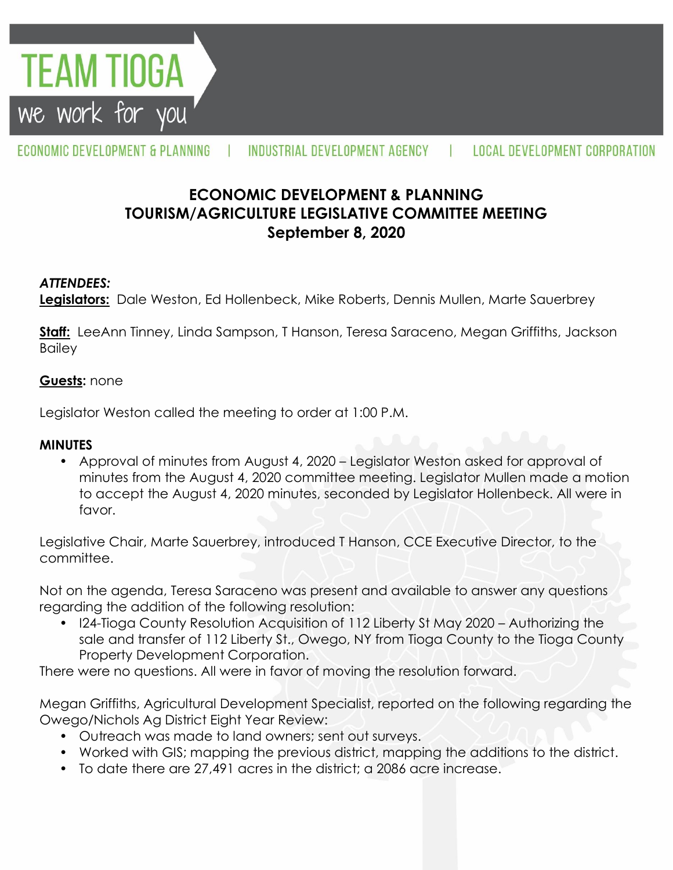

#### ECONOMIC DEVELOPMENT & PLANNING INDUSTRIAL DEVELOPMENT AGENCY **LOCAL DEVELOPMENT CORPORATION** л.

# **ECONOMIC DEVELOPMENT & PLANNING TOURISM/AGRICULTURE LEGISLATIVE COMMITTEE MEETING September 8, 2020**

### *ATTENDEES:*

**Legislators:** Dale Weston, Ed Hollenbeck, Mike Roberts, Dennis Mullen, Marte Sauerbrey

**Staff:** LeeAnn Tinney, Linda Sampson, T Hanson, Teresa Saraceno, Megan Griffiths, Jackson **Bailey** 

#### **Guests:** none

Legislator Weston called the meeting to order at 1:00 P.M.

#### **MINUTES**

• Approval of minutes from August 4, 2020 – Legislator Weston asked for approval of minutes from the August 4, 2020 committee meeting. Legislator Mullen made a motion to accept the August 4, 2020 minutes, seconded by Legislator Hollenbeck. All were in favor.

Legislative Chair, Marte Sauerbrey, introduced T Hanson, CCE Executive Director, to the committee.

Not on the agenda, Teresa Saraceno was present and available to answer any questions regarding the addition of the following resolution:

• I24-Tioga County Resolution Acquisition of 112 Liberty St May 2020 – Authorizing the sale and transfer of 112 Liberty St., Owego, NY from Tioga County to the Tioga County Property Development Corporation.

There were no questions. All were in favor of moving the resolution forward.

Megan Griffiths, Agricultural Development Specialist, reported on the following regarding the Owego/Nichols Ag District Eight Year Review:

- Outreach was made to land owners; sent out surveys.
- Worked with GIS; mapping the previous district, mapping the additions to the district.
- To date there are 27,491 acres in the district; a 2086 acre increase.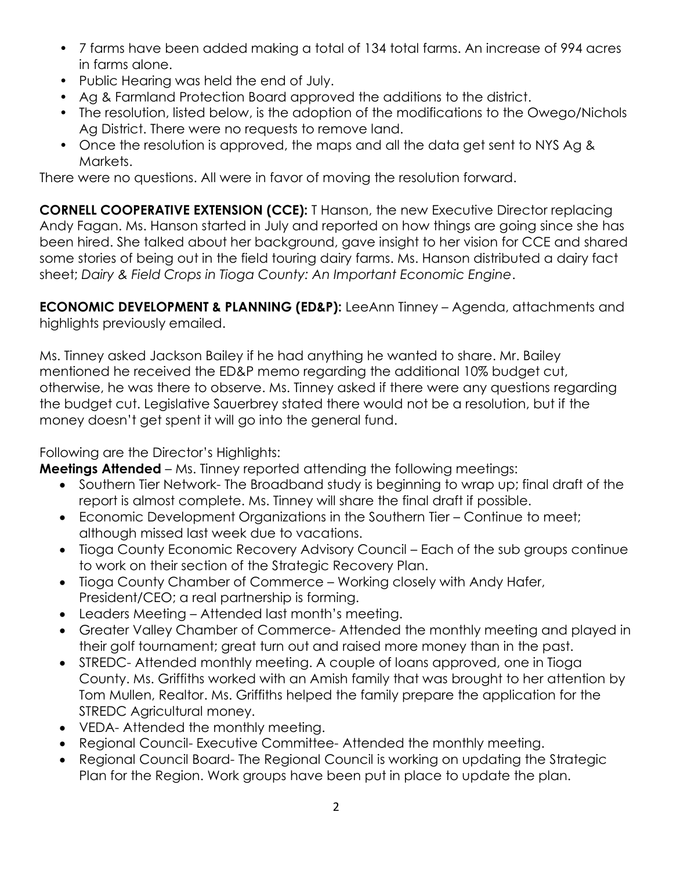- 7 farms have been added making a total of 134 total farms. An increase of 994 acres in farms alone.
- Public Hearing was held the end of July.
- Ag & Farmland Protection Board approved the additions to the district.
- The resolution, listed below, is the adoption of the modifications to the Owego/Nichols Ag District. There were no requests to remove land.
- Once the resolution is approved, the maps and all the data get sent to NYS Ag & Markets.

There were no questions. All were in favor of moving the resolution forward.

**CORNELL COOPERATIVE EXTENSION (CCE):** T Hanson, the new Executive Director replacing Andy Fagan. Ms. Hanson started in July and reported on how things are going since she has been hired. She talked about her background, gave insight to her vision for CCE and shared some stories of being out in the field touring dairy farms. Ms. Hanson distributed a dairy fact sheet; *Dairy & Field Crops in Tioga County: An Important Economic Engine*.

**ECONOMIC DEVELOPMENT & PLANNING (ED&P):** LeeAnn Tinney – Agenda, attachments and highlights previously emailed.

Ms. Tinney asked Jackson Bailey if he had anything he wanted to share. Mr. Bailey mentioned he received the ED&P memo regarding the additional 10% budget cut, otherwise, he was there to observe. Ms. Tinney asked if there were any questions regarding the budget cut. Legislative Sauerbrey stated there would not be a resolution, but if the money doesn't get spent it will go into the general fund.

## Following are the Director's Highlights:

**Meetings Attended** – Ms. Tinney reported attending the following meetings:

- Southern Tier Network- The Broadband study is beginning to wrap up; final draft of the report is almost complete. Ms. Tinney will share the final draft if possible.
- Economic Development Organizations in the Southern Tier Continue to meet; although missed last week due to vacations.
- Tioga County Economic Recovery Advisory Council Each of the sub groups continue to work on their section of the Strategic Recovery Plan.
- Tioga County Chamber of Commerce Working closely with Andy Hafer, President/CEO; a real partnership is forming.
- Leaders Meeting Attended last month's meeting.
- Greater Valley Chamber of Commerce- Attended the monthly meeting and played in their golf tournament; great turn out and raised more money than in the past.
- STREDC- Attended monthly meeting. A couple of loans approved, one in Tioga County. Ms. Griffiths worked with an Amish family that was brought to her attention by Tom Mullen, Realtor. Ms. Griffiths helped the family prepare the application for the STREDC Agricultural money.
- VEDA- Attended the monthly meeting.
- Regional Council- Executive Committee- Attended the monthly meeting.
- Regional Council Board- The Regional Council is working on updating the Strategic Plan for the Region. Work groups have been put in place to update the plan.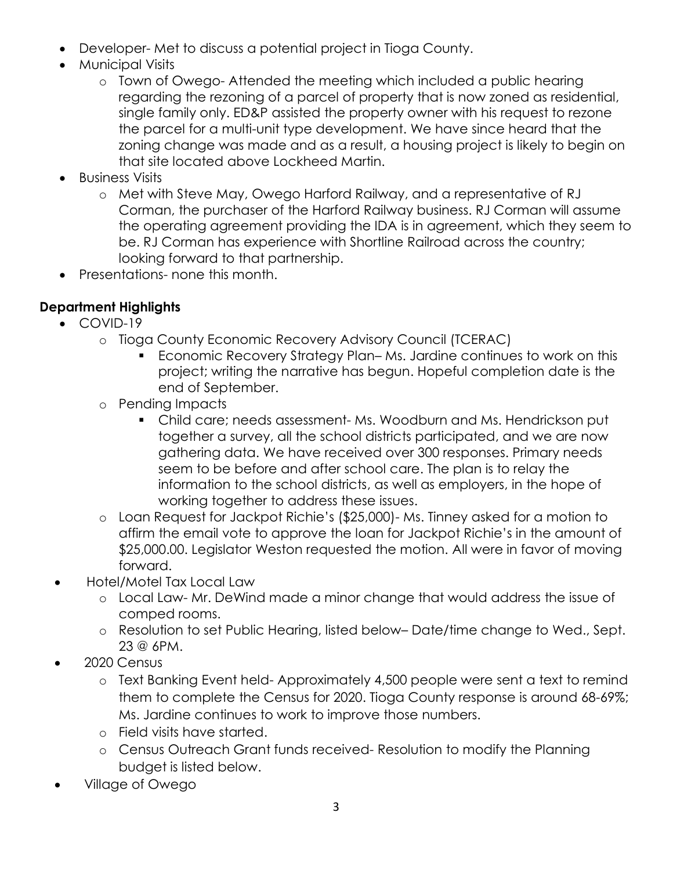- Developer- Met to discuss a potential project in Tioga County.
- Municipal Visits
	- o Town of Owego- Attended the meeting which included a public hearing regarding the rezoning of a parcel of property that is now zoned as residential, single family only. ED&P assisted the property owner with his request to rezone the parcel for a multi-unit type development. We have since heard that the zoning change was made and as a result, a housing project is likely to begin on that site located above Lockheed Martin.
- Business Visits
	- o Met with Steve May, Owego Harford Railway, and a representative of RJ Corman, the purchaser of the Harford Railway business. RJ Corman will assume the operating agreement providing the IDA is in agreement, which they seem to be. RJ Corman has experience with Shortline Railroad across the country; looking forward to that partnership.
- Presentations- none this month.

# **Department Highlights**

- COVID-19
	- o Tioga County Economic Recovery Advisory Council (TCERAC)
		- Economic Recovery Strategy Plan– Ms. Jardine continues to work on this project; writing the narrative has begun. Hopeful completion date is the end of September.
	- o Pending Impacts
		- Child care; needs assessment- Ms. Woodburn and Ms. Hendrickson put together a survey, all the school districts participated, and we are now gathering data. We have received over 300 responses. Primary needs seem to be before and after school care. The plan is to relay the information to the school districts, as well as employers, in the hope of working together to address these issues.
	- o Loan Request for Jackpot Richie's (\$25,000)- Ms. Tinney asked for a motion to affirm the email vote to approve the loan for Jackpot Richie's in the amount of \$25,000.00. Legislator Weston requested the motion. All were in favor of moving forward.
- Hotel/Motel Tax Local Law
	- o Local Law- Mr. DeWind made a minor change that would address the issue of comped rooms.
	- o Resolution to set Public Hearing, listed below– Date/time change to Wed., Sept. 23 @ 6PM.
- 2020 Census
	- o Text Banking Event held- Approximately 4,500 people were sent a text to remind them to complete the Census for 2020. Tioga County response is around 68-69%; Ms. Jardine continues to work to improve those numbers.
	- o Field visits have started.
	- o Census Outreach Grant funds received- Resolution to modify the Planning budget is listed below.
- Village of Owego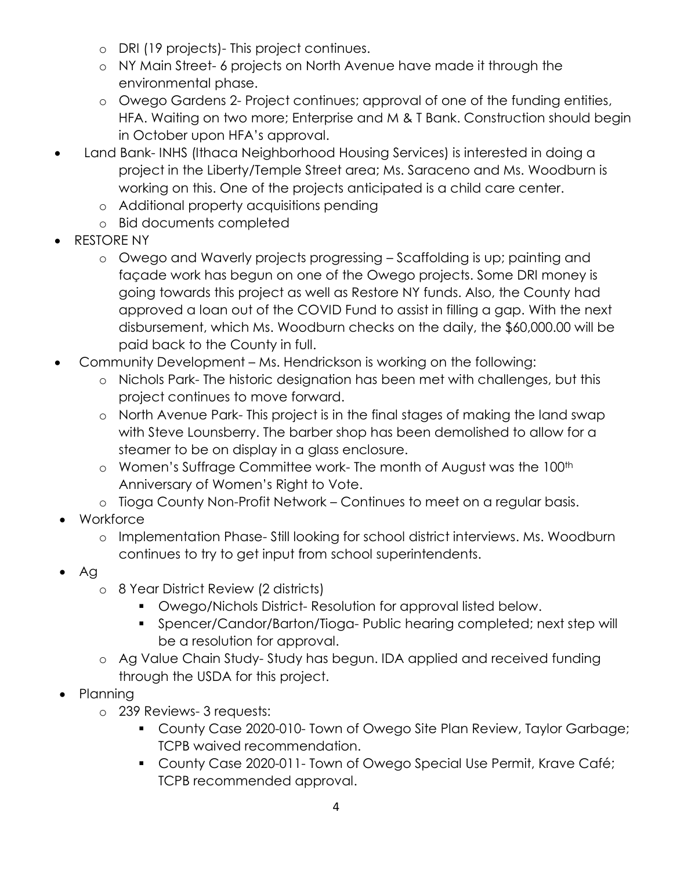- o DRI (19 projects)- This project continues.
- o NY Main Street- 6 projects on North Avenue have made it through the environmental phase.
- o Owego Gardens 2- Project continues; approval of one of the funding entities, HFA. Waiting on two more; Enterprise and M & T Bank. Construction should begin in October upon HFA's approval.
- Land Bank- INHS (Ithaca Neighborhood Housing Services) is interested in doing a project in the Liberty/Temple Street area; Ms. Saraceno and Ms. Woodburn is working on this. One of the projects anticipated is a child care center.
	- o Additional property acquisitions pending
	- o Bid documents completed
- RESTORE NY
	- o Owego and Waverly projects progressing Scaffolding is up; painting and façade work has begun on one of the Owego projects. Some DRI money is going towards this project as well as Restore NY funds. Also, the County had approved a loan out of the COVID Fund to assist in filling a gap. With the next disbursement, which Ms. Woodburn checks on the daily, the \$60,000.00 will be paid back to the County in full.
- Community Development Ms. Hendrickson is working on the following:
	- o Nichols Park- The historic designation has been met with challenges, but this project continues to move forward.
	- o North Avenue Park- This project is in the final stages of making the land swap with Steve Lounsberry. The barber shop has been demolished to allow for a steamer to be on display in a glass enclosure.
	- o Women's Suffrage Committee work- The month of August was the 100<sup>th</sup> Anniversary of Women's Right to Vote.
	- o Tioga County Non-Profit Network Continues to meet on a regular basis.
- Workforce
	- o Implementation Phase- Still looking for school district interviews. Ms. Woodburn continues to try to get input from school superintendents.
- Ag
	- o 8 Year District Review (2 districts)
		- Owego/Nichols District- Resolution for approval listed below.
		- Spencer/Candor/Barton/Tioga- Public hearing completed; next step will be a resolution for approval.
	- o Ag Value Chain Study- Study has begun. IDA applied and received funding through the USDA for this project.
- Planning
	- o 239 Reviews- 3 requests:
		- County Case 2020-010- Town of Owego Site Plan Review, Taylor Garbage; TCPB waived recommendation.
		- County Case 2020-011- Town of Owego Special Use Permit, Krave Café; TCPB recommended approval.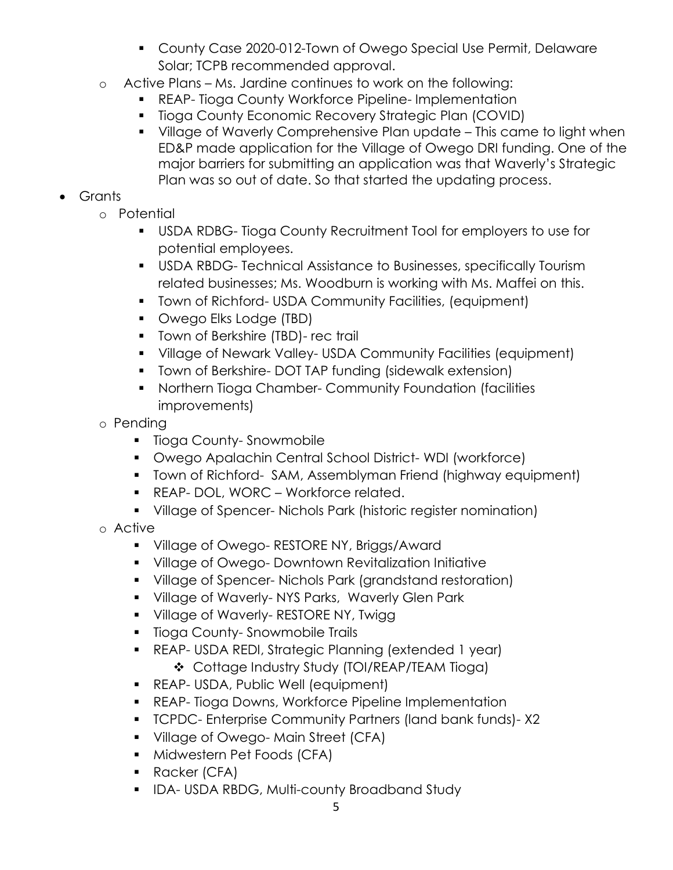- County Case 2020-012-Town of Owego Special Use Permit, Delaware Solar; TCPB recommended approval.
- o Active Plans Ms. Jardine continues to work on the following:
	- REAP- Tioga County Workforce Pipeline- Implementation
	- **Tioga County Economic Recovery Strategic Plan (COVID)**
	- Village of Waverly Comprehensive Plan update This came to light when ED&P made application for the Village of Owego DRI funding. One of the major barriers for submitting an application was that Waverly's Strategic Plan was so out of date. So that started the updating process.

# Grants

- o Potential
	- USDA RDBG- Tioga County Recruitment Tool for employers to use for potential employees.
	- USDA RBDG- Technical Assistance to Businesses, specifically Tourism related businesses; Ms. Woodburn is working with Ms. Maffei on this.
	- Town of Richford- USDA Community Facilities, (equipment)
	- **Owego Elks Lodge (TBD)**
	- **Town of Berkshire (TBD)- rec trail**
	- Village of Newark Valley- USDA Community Facilities (equipment)
	- **T** Town of Berkshire- DOT TAP funding (sidewalk extension)
	- **Northern Tioga Chamber- Community Foundation (facilities** improvements)
- o Pending
	- **Tioga County-Snowmobile**
	- Owego Apalachin Central School District- WDI (workforce)
	- Town of Richford- SAM, Assemblyman Friend (highway equipment)
	- **REAP- DOL, WORC Workforce related.**
	- Village of Spencer- Nichols Park (historic register nomination)
- o Active
	- **Village of Owego- RESTORE NY, Briggs/Award**
	- Village of Owego- Downtown Revitalization Initiative
	- Village of Spencer- Nichols Park (grandstand restoration)
	- **Village of Waverly-NYS Parks, Waverly Glen Park**
	- **Village of Waverly- RESTORE NY, Twigg**
	- **Tioga County-Snowmobile Trails**
	- REAP- USDA REDI, Strategic Planning (extended 1 year) Cottage Industry Study (TOI/REAP/TEAM Tioga)
	- **REAP- USDA, Public Well (equipment)**
	- **REAP- Tioga Downs, Workforce Pipeline Implementation**
	- TCPDC- Enterprise Community Partners (land bank funds)- X2
	- **Village of Owego-Main Street (CFA)**
	- **Midwestern Pet Foods (CFA)**
	- Racker (CFA)
	- **IDA-USDA RBDG, Multi-county Broadband Study**